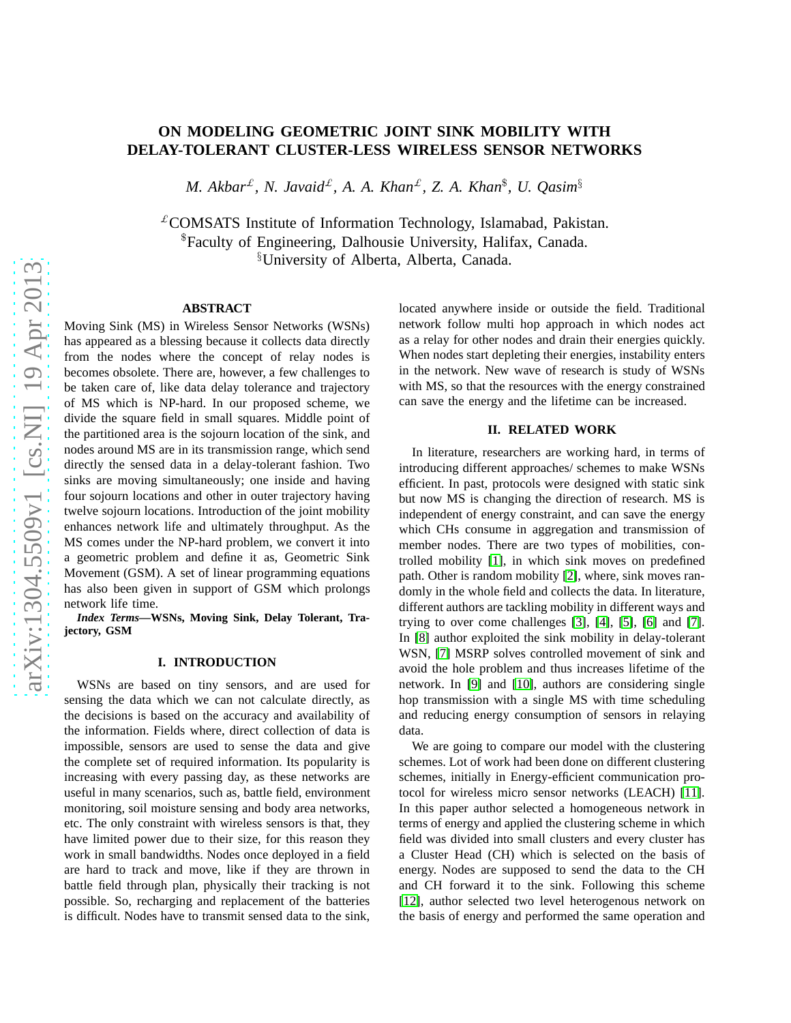# **ON MODELING GEOMETRIC JOINT SINK MOBILITY WITH DELAY-TOLERANT CLUSTER-LESS WIRELESS SENSOR NETWORKS**

*M. Akbar*£*, N. Javaid*£*, A. A. Khan*£*, Z. A. Khan*\$ *, U. Qasim*§

 $E$ COMSATS Institute of Information Technology, Islamabad, Pakistan. \$Faculty of Engineering, Dalhousie University, Halifax, Canada. §University of Alberta, Alberta, Canada.

# **ABSTRACT**

Moving Sink (MS) in Wireless Sensor Networks (WSNs) has appeared as a blessing because it collects data directly from the nodes where the concept of relay nodes is becomes obsolete. There are, however, a few challenges to be taken care of, like data delay tolerance and trajectory of MS which is NP-hard. In our proposed scheme, we divide the square field in small squares. Middle point of the partitioned area is the sojourn location of the sink, and nodes around MS are in its transmission range, which send directly the sensed data in a delay-tolerant fashion. Two sinks are moving simultaneously; one inside and having four sojourn locations and other in outer trajectory having twelve sojourn locations. Introduction of the joint mobility enhances network life and ultimately throughput. As the MS comes under the NP-hard problem, we convert it into a geometric problem and define it as, Geometric Sink Movement (GSM). A set of linear programming equations has also been given in support of GSM which prolongs network life time.

*Index Terms***—WSNs, Moving Sink, Delay Tolerant, Trajectory, GSM**

#### **I. INTRODUCTION**

WSNs are based on tiny sensors, and are used for sensing the data which we can not calculate directly, as the decisions is based on the accuracy and availability of the information. Fields where, direct collection of data is impossible, sensors are used to sense the data and give the complete set of required information. Its popularity is increasing with every passing day, as these networks are useful in many scenarios, such as, battle field, environment monitoring, soil moisture sensing and body area networks, etc. The only constraint with wireless sensors is that, they have limited power due to their size, for this reason they work in small bandwidths. Nodes once deployed in a field are hard to track and move, like if they are thrown in battle field through plan, physically their tracking is not possible. So, recharging and replacement of the batteries is difficult. Nodes have to transmit sensed data to the sink,

located anywhere inside or outside the field. Traditional network follow multi hop approach in which nodes act as a relay for other nodes and drain their energies quickly. When nodes start depleting their energies, instability enters in the network. New wave of research is study of WSNs with MS, so that the resources with the energy constrained can save the energy and the lifetime can be increased.

# **II. RELATED WORK**

In literature, researchers are working hard, in terms of introducing different approaches/ schemes to make WSNs efficient. In past, protocols were designed with static sink but now MS is changing the direction of research. MS is independent of energy constraint, and can save the energy which CHs consume in aggregation and transmission of member nodes. There are two types of mobilities, controlled mobility [\[1\]](#page-4-0), in which sink moves on predefined path. Other is random mobility [\[2\]](#page-4-1), where, sink moves randomly in the whole field and collects the data. In literature, different authors are tackling mobility in different ways and trying to over come challenges [\[3\]](#page-4-2), [\[4\]](#page-4-3), [\[5\]](#page-4-4), [\[6\]](#page-4-5) and [\[7\]](#page-4-6). In [\[8\]](#page-4-7) author exploited the sink mobility in delay-tolerant WSN, [\[7\]](#page-4-6) MSRP solves controlled movement of sink and avoid the hole problem and thus increases lifetime of the network. In [\[9\]](#page-4-8) and [\[10\]](#page-4-9), authors are considering single hop transmission with a single MS with time scheduling and reducing energy consumption of sensors in relaying data.

We are going to compare our model with the clustering schemes. Lot of work had been done on different clustering schemes, initially in Energy-efficient communication protocol for wireless micro sensor networks (LEACH) [\[11\]](#page-4-10). In this paper author selected a homogeneous network in terms of energy and applied the clustering scheme in which field was divided into small clusters and every cluster has a Cluster Head (CH) which is selected on the basis of energy. Nodes are supposed to send the data to the CH and CH forward it to the sink. Following this scheme [\[12\]](#page-4-11), author selected two level heterogenous network on the basis of energy and performed the same operation and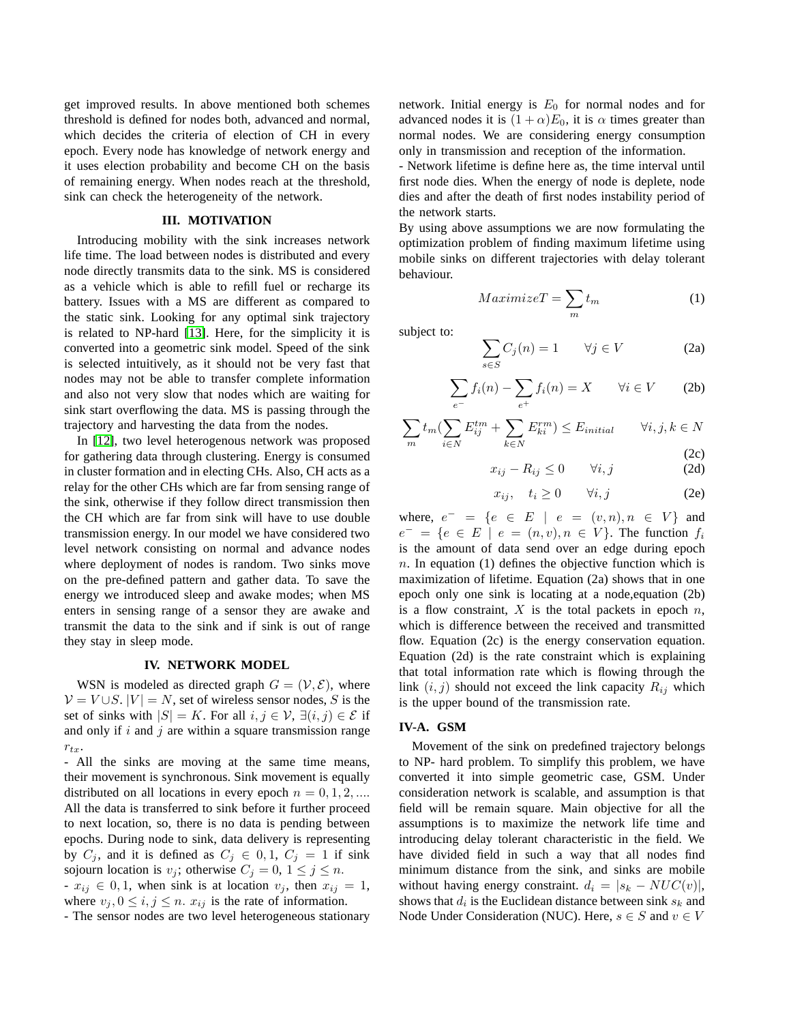get improved results. In above mentioned both schemes threshold is defined for nodes both, advanced and normal, which decides the criteria of election of CH in every epoch. Every node has knowledge of network energy and it uses election probability and become CH on the basis of remaining energy. When nodes reach at the threshold, sink can check the heterogeneity of the network.

# **III. MOTIVATION**

Introducing mobility with the sink increases network life time. The load between nodes is distributed and every node directly transmits data to the sink. MS is considered as a vehicle which is able to refill fuel or recharge its battery. Issues with a MS are different as compared to the static sink. Looking for any optimal sink trajectory is related to NP-hard [\[13\]](#page-4-12). Here, for the simplicity it is converted into a geometric sink model. Speed of the sink is selected intuitively, as it should not be very fast that nodes may not be able to transfer complete information and also not very slow that nodes which are waiting for sink start overflowing the data. MS is passing through the trajectory and harvesting the data from the nodes.

In [\[12\]](#page-4-11), two level heterogenous network was proposed for gathering data through clustering. Energy is consumed in cluster formation and in electing CHs. Also, CH acts as a relay for the other CHs which are far from sensing range of the sink, otherwise if they follow direct transmission then the CH which are far from sink will have to use double transmission energy. In our model we have considered two level network consisting on normal and advance nodes where deployment of nodes is random. Two sinks move on the pre-defined pattern and gather data. To save the energy we introduced sleep and awake modes; when MS enters in sensing range of a sensor they are awake and transmit the data to the sink and if sink is out of range they stay in sleep mode.

#### **IV. NETWORK MODEL**

WSN is modeled as directed graph  $G = (\mathcal{V}, \mathcal{E})$ , where  $V = V \cup S$ .  $|V| = N$ , set of wireless sensor nodes, S is the set of sinks with  $|S| = K$ . For all  $i, j \in V$ ,  $\exists (i, j) \in \mathcal{E}$  if and only if  $i$  and  $j$  are within a square transmission range  $r_{tx}$ .

- All the sinks are moving at the same time means, their movement is synchronous. Sink movement is equally distributed on all locations in every epoch  $n = 0, 1, 2, ...$ All the data is transferred to sink before it further proceed to next location, so, there is no data is pending between epochs. During node to sink, data delivery is representing by  $C_j$ , and it is defined as  $C_j \in [0,1, C_j = 1]$  if sink sojourn location is  $v_j$ ; otherwise  $C_j = 0, 1 \le j \le n$ .

 $x_{ij} \in 0, 1$ , when sink is at location  $v_j$ , then  $x_{ij} = 1$ , where  $v_j, 0 \leq i, j \leq n$ .  $x_{ij}$  is the rate of information.

- The sensor nodes are two level heterogeneous stationary

network. Initial energy is  $E_0$  for normal nodes and for advanced nodes it is  $(1 + \alpha)E_0$ , it is  $\alpha$  times greater than normal nodes. We are considering energy consumption only in transmission and reception of the information.

- Network lifetime is define here as, the time interval until first node dies. When the energy of node is deplete, node dies and after the death of first nodes instability period of the network starts.

By using above assumptions we are now formulating the optimization problem of finding maximum lifetime using mobile sinks on different trajectories with delay tolerant behaviour.

$$
Maximize T = \sum_{m} t_m \tag{1}
$$

subject to:

$$
\sum_{s \in S} C_j(n) = 1 \qquad \forall j \in V \tag{2a}
$$

$$
\sum_{e^-} f_i(n) - \sum_{e^+} f_i(n) = X \qquad \forall i \in V \qquad (2b)
$$

$$
\sum_{m} t_m \left( \sum_{i \in N} E_{ij}^{tm} + \sum_{k \in N} E_{ki}^{rm} \right) \le E_{initial} \qquad \forall i, j, k \in N
$$
\n(2c)

$$
\begin{array}{ccc}\n & & (2c) \\
\sqrt{2} & & (2c) \\
\end{array}
$$

$$
x_{ij} - R_{ij} \le 0 \qquad \forall i, j \tag{2d}
$$

$$
x_{ij}, \quad t_i \ge 0 \qquad \forall i, j \tag{2e}
$$

where,  $e^- = \{e \in E \mid e = (v, n), n \in V\}$  and  $e^- = \{e \in E \mid e = (n, v), n \in V\}.$  The function  $f_i$ is the amount of data send over an edge during epoch  $n.$  In equation (1) defines the objective function which is maximization of lifetime. Equation (2a) shows that in one epoch only one sink is locating at a node,equation (2b) is a flow constraint,  $X$  is the total packets in epoch  $n$ , which is difference between the received and transmitted flow. Equation (2c) is the energy conservation equation. Equation (2d) is the rate constraint which is explaining that total information rate which is flowing through the link  $(i, j)$  should not exceed the link capacity  $R_{ij}$  which is the upper bound of the transmission rate.

# **IV-A. GSM**

Movement of the sink on predefined trajectory belongs to NP- hard problem. To simplify this problem, we have converted it into simple geometric case, GSM. Under consideration network is scalable, and assumption is that field will be remain square. Main objective for all the assumptions is to maximize the network life time and introducing delay tolerant characteristic in the field. We have divided field in such a way that all nodes find minimum distance from the sink, and sinks are mobile without having energy constraint.  $d_i = |s_k - NUC(v)|$ , shows that  $d_i$  is the Euclidean distance between sink  $s_k$  and Node Under Consideration (NUC). Here,  $s \in S$  and  $v \in V$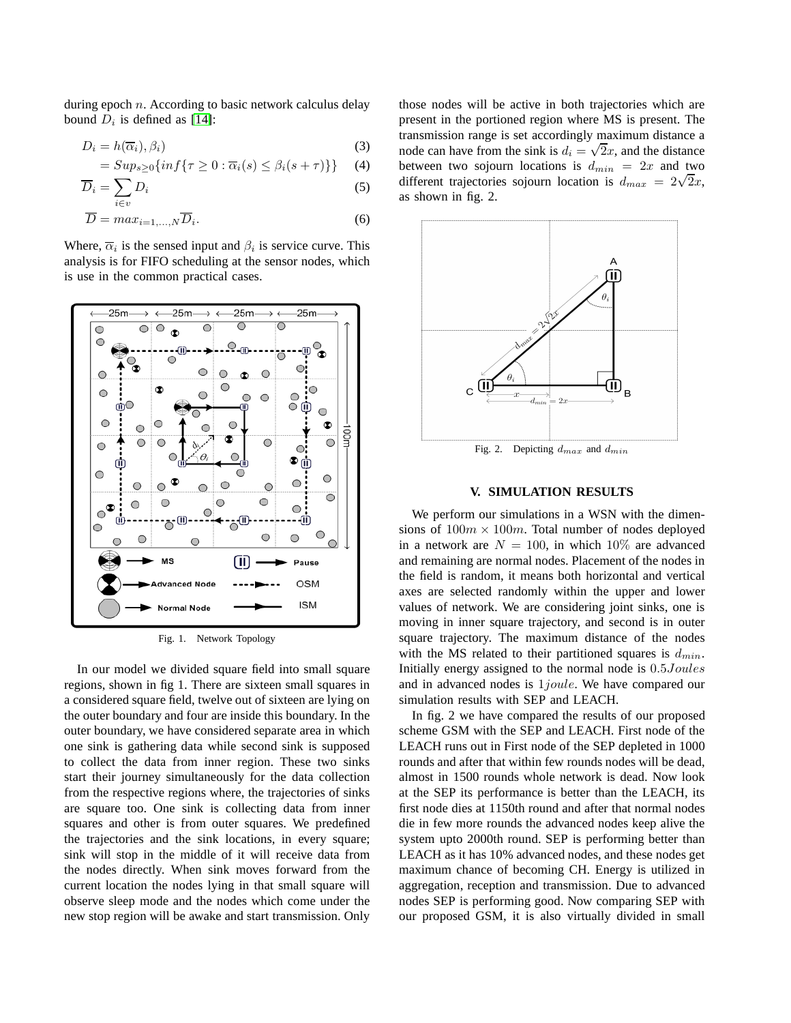during epoch  $n$ . According to basic network calculus delay bound  $D_i$  is defined as [\[14\]](#page-4-13):

$$
D_i = h(\overline{\alpha}_i), \beta_i)
$$
\n(3)

$$
= Sup_{s\geq 0}\{inf\{\tau \geq 0 : \overline{\alpha}_i(s) \leq \beta_i(s+\tau)\}\} \qquad (4)
$$

$$
\overline{D}_i = \sum_{i \in v} D_i \tag{5}
$$

$$
\overline{D} = max_{i=1,\dots,N} \overline{D}_i.
$$
 (6)

Where,  $\overline{\alpha}_i$  is the sensed input and  $\beta_i$  is service curve. This analysis is for FIFO scheduling at the sensor nodes, which is use in the common practical cases.



Fig. 1. Network Topology

In our model we divided square field into small square regions, shown in fig 1. There are sixteen small squares in a considered square field, twelve out of sixteen are lying on the outer boundary and four are inside this boundary. In the outer boundary, we have considered separate area in which one sink is gathering data while second sink is supposed to collect the data from inner region. These two sinks start their journey simultaneously for the data collection from the respective regions where, the trajectories of sinks are square too. One sink is collecting data from inner squares and other is from outer squares. We predefined the trajectories and the sink locations, in every square; sink will stop in the middle of it will receive data from the nodes directly. When sink moves forward from the current location the nodes lying in that small square will observe sleep mode and the nodes which come under the new stop region will be awake and start transmission. Only

those nodes will be active in both trajectories which are present in the portioned region where MS is present. The transmission range is set accordingly maximum distance a node can have from the sink is  $d_i = \sqrt{2}x$ , and the distance between two sojourn locations is  $d_{min} = 2x$  and two different trajectories sojourn location is  $d_{max} = 2\sqrt{2}x$ , as shown in fig. 2.



Fig. 2. Depicting  $d_{max}$  and  $d_{min}$ 

# **V. SIMULATION RESULTS**

We perform our simulations in a WSN with the dimensions of  $100m \times 100m$ . Total number of nodes deployed in a network are  $N = 100$ , in which 10% are advanced and remaining are normal nodes. Placement of the nodes in the field is random, it means both horizontal and vertical axes are selected randomly within the upper and lower values of network. We are considering joint sinks, one is moving in inner square trajectory, and second is in outer square trajectory. The maximum distance of the nodes with the MS related to their partitioned squares is  $d_{min}$ . Initially energy assigned to the normal node is 0.5Joules and in advanced nodes is 1joule. We have compared our simulation results with SEP and LEACH.

In fig. 2 we have compared the results of our proposed scheme GSM with the SEP and LEACH. First node of the LEACH runs out in First node of the SEP depleted in 1000 rounds and after that within few rounds nodes will be dead, almost in 1500 rounds whole network is dead. Now look at the SEP its performance is better than the LEACH, its first node dies at 1150th round and after that normal nodes die in few more rounds the advanced nodes keep alive the system upto 2000th round. SEP is performing better than LEACH as it has 10% advanced nodes, and these nodes get maximum chance of becoming CH. Energy is utilized in aggregation, reception and transmission. Due to advanced nodes SEP is performing good. Now comparing SEP with our proposed GSM, it is also virtually divided in small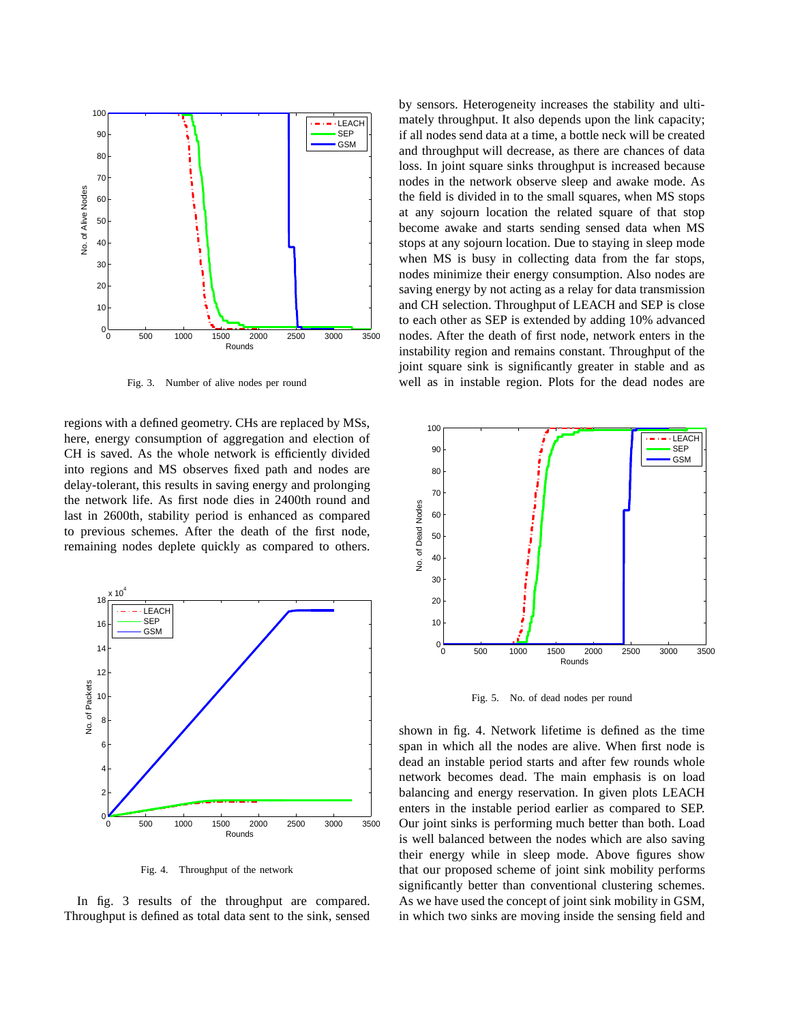

Fig. 3. Number of alive nodes per round

regions with a defined geometry. CHs are replaced by MSs, here, energy consumption of aggregation and election of CH is saved. As the whole network is efficiently divided into regions and MS observes fixed path and nodes are delay-tolerant, this results in saving energy and prolonging the network life. As first node dies in 2400th round and last in 2600th, stability period is enhanced as compared to previous schemes. After the death of the first node, remaining nodes deplete quickly as compared to others.



Fig. 4. Throughput of the network

In fig. 3 results of the throughput are compared. Throughput is defined as total data sent to the sink, sensed

by sensors. Heterogeneity increases the stability and ultimately throughput. It also depends upon the link capacity; if all nodes send data at a time, a bottle neck will be created and throughput will decrease, as there are chances of data loss. In joint square sinks throughput is increased because nodes in the network observe sleep and awake mode. As the field is divided in to the small squares, when MS stops at any sojourn location the related square of that stop become awake and starts sending sensed data when MS stops at any sojourn location. Due to staying in sleep mode when MS is busy in collecting data from the far stops, nodes minimize their energy consumption. Also nodes are saving energy by not acting as a relay for data transmission and CH selection. Throughput of LEACH and SEP is close to each other as SEP is extended by adding 10% advanced nodes. After the death of first node, network enters in the instability region and remains constant. Throughput of the joint square sink is significantly greater in stable and as well as in instable region. Plots for the dead nodes are



Fig. 5. No. of dead nodes per round

shown in fig. 4. Network lifetime is defined as the time span in which all the nodes are alive. When first node is dead an instable period starts and after few rounds whole network becomes dead. The main emphasis is on load balancing and energy reservation. In given plots LEACH enters in the instable period earlier as compared to SEP. Our joint sinks is performing much better than both. Load is well balanced between the nodes which are also saving their energy while in sleep mode. Above figures show that our proposed scheme of joint sink mobility performs significantly better than conventional clustering schemes. As we have used the concept of joint sink mobility in GSM, in which two sinks are moving inside the sensing field and